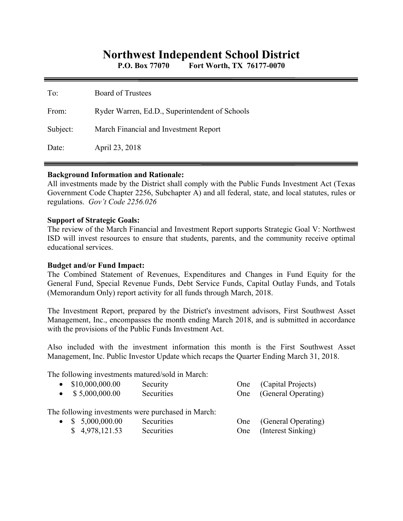# **Northwest Independent School District**

**P.O. Box 77070 Fort Worth, TX 76177-0070** 

| To:      | <b>Board of Trustees</b>                       |
|----------|------------------------------------------------|
| From:    | Ryder Warren, Ed.D., Superintendent of Schools |
| Subject: | March Financial and Investment Report          |
| Date:    | April 23, 2018                                 |

#### **Background Information and Rationale:**

All investments made by the District shall comply with the Public Funds Investment Act (Texas Government Code Chapter 2256, Subchapter A) and all federal, state, and local statutes, rules or regulations. *Gov't Code 2256.026* 

#### **Support of Strategic Goals:**

The review of the March Financial and Investment Report supports Strategic Goal V: Northwest ISD will invest resources to ensure that students, parents, and the community receive optimal educational services.

#### **Budget and/or Fund Impact:**

The Combined Statement of Revenues, Expenditures and Changes in Fund Equity for the General Fund, Special Revenue Funds, Debt Service Funds, Capital Outlay Funds, and Totals (Memorandum Only) report activity for all funds through March, 2018.

The Investment Report, prepared by the District's investment advisors, First Southwest Asset Management, Inc., encompasses the month ending March 2018, and is submitted in accordance with the provisions of the Public Funds Investment Act.

Also included with the investment information this month is the First Southwest Asset Management, Inc. Public Investor Update which recaps the Quarter Ending March 31, 2018.

The following investments matured/sold in March:

| $\bullet$ \$10,000,000.00 | Security                                           |     | One (Capital Projects)  |
|---------------------------|----------------------------------------------------|-----|-------------------------|
| $\bullet$ \$ 5,000,000.00 | Securities                                         |     | One (General Operating) |
|                           |                                                    |     |                         |
|                           | The following investments were purchased in March: |     |                         |
| $\bullet$ \$ 5,000,000.00 | Securities                                         | One | (General Operating)     |
| \$4,978,121.53            | Securities                                         |     | One (Interest Sinking)  |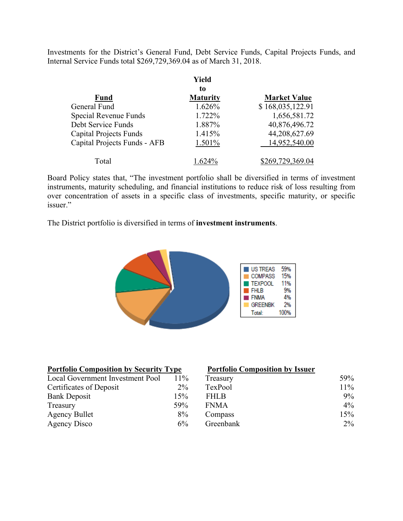Investments for the District's General Fund, Debt Service Funds, Capital Projects Funds, and Internal Service Funds total \$269,729,369.04 as of March 31, 2018.

|                               | Yield           |                     |
|-------------------------------|-----------------|---------------------|
|                               | to              |                     |
| <b>Fund</b>                   | <b>Maturity</b> | <b>Market Value</b> |
| General Fund                  | 1.626%          | \$168,035,122.91    |
| Special Revenue Funds         | 1.722%          | 1,656,581.72        |
| Debt Service Funds            | 1.887%          | 40,876,496.72       |
| <b>Capital Projects Funds</b> | 1.415%          | 44,208,627.69       |
| Capital Projects Funds - AFB  | 1.501%          | 14,952,540.00       |
| Total                         | $674\%$         | \$269,729,369.04    |

Board Policy states that, "The investment portfolio shall be diversified in terms of investment instruments, maturity scheduling, and financial institutions to reduce risk of loss resulting from over concentration of assets in a specific class of investments, specific maturity, or specific issuer."

The District portfolio is diversified in terms of **investment instruments**.



| <b>Portfolio Composition by Security Type</b> |        | <b>Portfolio Composition by Issuer</b> |        |  |
|-----------------------------------------------|--------|----------------------------------------|--------|--|
| Local Government Investment Pool              | $11\%$ | Treasury                               | 59%    |  |
| Certificates of Deposit                       | $2\%$  | TexPool                                | $11\%$ |  |
| <b>Bank Deposit</b>                           | 15%    | <b>FHLB</b>                            | $9\%$  |  |
| Treasury                                      | 59%    | <b>FNMA</b>                            | $4\%$  |  |
| <b>Agency Bullet</b>                          | 8%     | Compass                                | 15%    |  |
| Agency Disco                                  | $6\%$  | Greenbank                              | $2\%$  |  |

#### **Portfolio Composition by Issuer**

| $11\%$ | Treasury    | 59%   |
|--------|-------------|-------|
| $2\%$  | TexPool     | 11%   |
| 15%    | <b>FHLB</b> | $9\%$ |
| 59%    | <b>FNMA</b> | $4\%$ |
| 8%     | Compass     | 15%   |
| $6\%$  | Greenbank   | $2\%$ |
|        |             |       |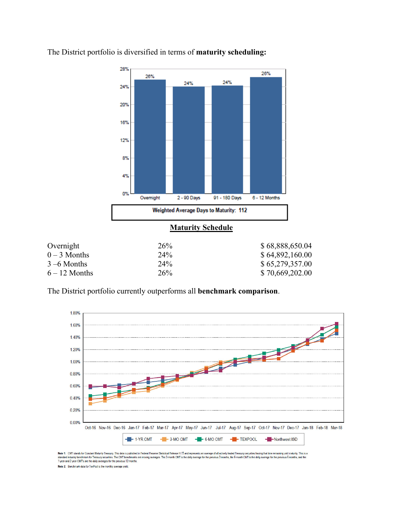

The District portfolio is diversified in terms of **maturity scheduling:** 

| Overnigni       | $\angle 0\%$    | <b>D</b> 00,000,000.04 |
|-----------------|-----------------|------------------------|
| $0-3$ Months    | 24%             | \$64,892,160.00        |
| $3-6$ Months    | 24%             | \$65,279,357.00        |
| $6 - 12$ Months | 26 <sup>%</sup> | \$70,669,202.00        |
|                 |                 |                        |

The District portfolio currently outperforms all **benchmark comparison**.



Note 1: CMT stands for Constant Maturity Treasury. This data is published in Federal Resene Statistical Release 1.15 and represents an average of all actively traded Treasury securities having that time remaining until mat Note 2: Benchmark data for TexPool is the monthly average vield.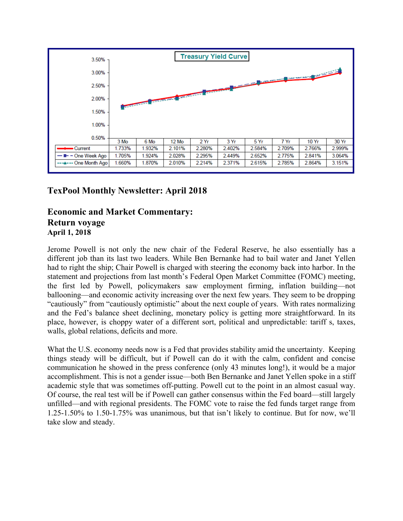

## **TexPool Monthly Newsletter: April 2018**

### **Economic and Market Commentary: Return voyage April 1, 2018**

Jerome Powell is not only the new chair of the Federal Reserve, he also essentially has a different job than its last two leaders. While Ben Bernanke had to bail water and Janet Yellen had to right the ship; Chair Powell is charged with steering the economy back into harbor. In the statement and projections from last month's Federal Open Market Committee (FOMC) meeting, the first led by Powell, policymakers saw employment firming, inflation building—not ballooning—and economic activity increasing over the next few years. They seem to be dropping "cautiously" from "cautiously optimistic" about the next couple of years. With rates normalizing and the Fed's balance sheet declining, monetary policy is getting more straightforward. In its place, however, is choppy water of a different sort, political and unpredictable: tariff s, taxes, walls, global relations, deficits and more.

What the U.S. economy needs now is a Fed that provides stability amid the uncertainty. Keeping things steady will be difficult, but if Powell can do it with the calm, confident and concise communication he showed in the press conference (only 43 minutes long!), it would be a major accomplishment. This is not a gender issue—both Ben Bernanke and Janet Yellen spoke in a stiff academic style that was sometimes off-putting. Powell cut to the point in an almost casual way. Of course, the real test will be if Powell can gather consensus within the Fed board—still largely unfilled—and with regional presidents. The FOMC vote to raise the fed funds target range from 1.25-1.50% to 1.50-1.75% was unanimous, but that isn't likely to continue. But for now, we'll take slow and steady.